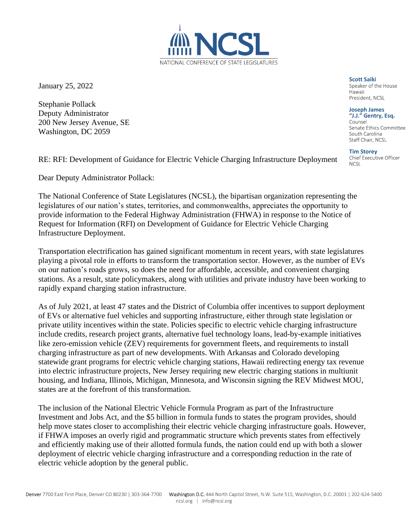January 25, 2022

Stephanie Pollack Deputy Administrator 200 New Jersey Avenue, SE Washington, DC 2059

RE: RFI: Development of Guidance for Electric Vehicle Charging Infrastructure Deployment

Dear Deputy Administrator Pollack:

The National Conference of State Legislatures (NCSL), the bipartisan organization representing the legislatures of our nation's states, territories, and commonwealths, appreciates the opportunity to provide information to the Federal Highway Administration (FHWA) in response to the Notice of Request for Information (RFI) on Development of Guidance for Electric Vehicle Charging Infrastructure Deployment.

Transportation electrification has gained significant momentum in recent years, with state legislatures playing a pivotal role in efforts to transform the transportation sector. However, as the number of EVs on our nation's roads grows, so does the need for affordable, accessible, and convenient charging stations. As a result, state policymakers, along with utilities and private industry have been working to rapidly expand charging station infrastructure.

As of July 2021, at least 47 states and the District of Columbia offer incentives to support deployment of EVs or alternative fuel vehicles and supporting infrastructure, either through state legislation or private utility incentives within the state. Policies specific to electric vehicle charging infrastructure include credits, research project grants, alternative fuel technology loans, lead-by-example initiatives like zero-emission vehicle (ZEV) requirements for government fleets, and requirements to install charging infrastructure as part of new developments. With Arkansas and Colorado developing statewide grant programs for electric vehicle charging stations, Hawaii redirecting energy tax revenue into electric infrastructure projects, New Jersey requiring new electric charging stations in multiunit housing, and Indiana, Illinois, Michigan, Minnesota, and Wisconsin signing the REV Midwest MOU, states are at the forefront of this transformation.

The inclusion of the National Electric Vehicle Formula Program as part of the Infrastructure Investment and Jobs Act, and the \$5 billion in formula funds to states the program provides, should help move states closer to accomplishing their electric vehicle charging infrastructure goals. However, if FHWA imposes an overly rigid and programmatic structure which prevents states from effectively and efficiently making use of their allotted formula funds, the nation could end up with both a slower deployment of electric vehicle charging infrastructure and a corresponding reduction in the rate of electric vehicle adoption by the general public.

NATIONAL CONFERENCE OF STATE LEGISLATURES

**Scott Saiki**<br>Speaker of the House Hawaii President, NCSL

## **Joseph James**

**"J.J." Gentry, Esq.** Senate Ethics Committee South Carolina Staff Chair, NCSL

**Tim Storey**

**NCSL**